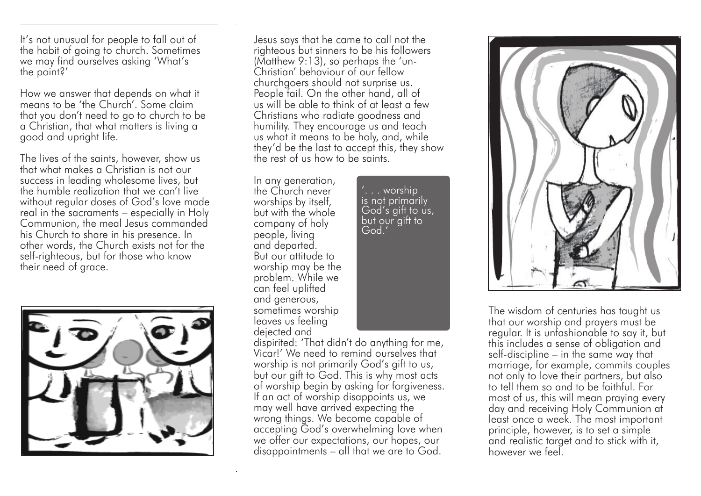It's not unusual for people to fall out of the habit of going to church. Sometimes we may find ourselves asking 'What's the point?'

How we answer that depends on what it means to be 'the Church'. Some claim that you don't need to go to church to be a Christian, that what matters is living a good and upright life.

The lives of the saints, however, show us that what makes a Christian is not our success in leading wholesome lives, but the humble realization that we can't live without regular doses of God's love made real in the sacraments – especially in Holy Communion, the meal Jesus commanded his Church to share in his presence. In other words, the Church exists not for the self-righteous, but for those who know their need of grace.



Jesus says that he came to call not the righteous but sinners to be his followers (Matthew 9:13), so perhaps the 'un-Christian' behaviour of our fellow churchgoers should not surprise us. People fail. On the other hand, all of us will be able to think of at least a few Christians who radiate goodness and humility. They encourage us and teach us what it means to be holy, and, while they'd be the last to accept this, they show the rest of us how to be saints.

Vicar!' We need to remind ourselves that worship is not primarily God's gift to us, but our gift to God. This is why most acts of worship begin by asking for forgiveness. If an act of worship disappoints us, we may well have arrived expecting the wrong things. We become capable of accepting God's overwhelming love when we offer our expectations, our hopes, our disappointments – all that we are to God.

In any generation, the Church never worships by itself, but with the whole company of holy people, living and departed. But our attitude to worship may be the problem. While we can feel uplifted and generous, sometimes worship leaves us feeling dejected and dispirited: 'That didn't do anything for me,

'. . . worship is not primarily God's gift to us, but our gift to God.'



The wisdom of centuries has taught us that our worship and prayers must be regular. It is unfashionable to say it, but this includes a sense of obligation and self-discipline – in the same way that marriage, for example, commits couples not only to love their partners, but also to tell them so and to be faithful. For most of us, this will mean praying every day and receiving Holy Communion at least once a week. The most important principle, however, is to set a simple and realistic target and to stick with it, however we feel.